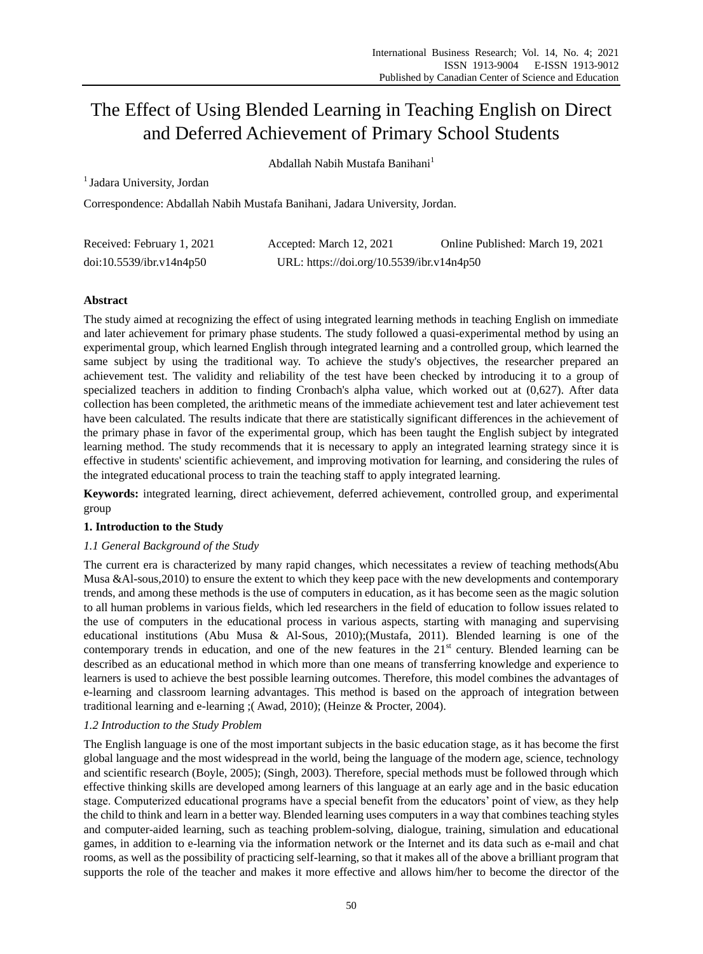# The Effect of Using Blended Learning in Teaching English on Direct and Deferred Achievement of Primary School Students

Abdallah Nabih Mustafa Banihani<sup>1</sup>

<sup>1</sup> Jadara University, Jordan

Correspondence: Abdallah Nabih Mustafa Banihani, Jadara University, Jordan.

| Received: February 1, 2021 | Accepted: March 12, 2021                  | Online Published: March 19, 2021 |
|----------------------------|-------------------------------------------|----------------------------------|
| doi:10.5539/ibr.v14n4p50   | URL: https://doi.org/10.5539/ibr.v14n4p50 |                                  |

# **Abstract**

The study aimed at recognizing the effect of using integrated learning methods in teaching English on immediate and later achievement for primary phase students. The study followed a quasi-experimental method by using an experimental group, which learned English through integrated learning and a controlled group, which learned the same subject by using the traditional way. To achieve the study's objectives, the researcher prepared an achievement test. The validity and reliability of the test have been checked by introducing it to a group of specialized teachers in addition to finding Cronbach's alpha value, which worked out at (0,627). After data collection has been completed, the arithmetic means of the immediate achievement test and later achievement test have been calculated. The results indicate that there are statistically significant differences in the achievement of the primary phase in favor of the experimental group, which has been taught the English subject by integrated learning method. The study recommends that it is necessary to apply an integrated learning strategy since it is effective in students' scientific achievement, and improving motivation for learning, and considering the rules of the integrated educational process to train the teaching staff to apply integrated learning.

**Keywords:** integrated learning, direct achievement, deferred achievement, controlled group, and experimental group

## **1. Introduction to the Study**

## *1.1 General Background of the Study*

The current era is characterized by many rapid changes, which necessitates a review of teaching methods(Abu Musa &Al-sous,2010) to ensure the extent to which they keep pace with the new developments and contemporary trends, and among these methods is the use of computers in education, as it has become seen as the magic solution to all human problems in various fields, which led researchers in the field of education to follow issues related to the use of computers in the educational process in various aspects, starting with managing and supervising educational institutions (Abu Musa & Al-Sous, 2010);(Mustafa, 2011). Blended learning is one of the contemporary trends in education, and one of the new features in the  $21<sup>st</sup>$  century. Blended learning can be described as an educational method in which more than one means of transferring knowledge and experience to learners is used to achieve the best possible learning outcomes. Therefore, this model combines the advantages of e-learning and classroom learning advantages. This method is based on the approach of integration between traditional learning and e-learning ;( Awad, 2010); (Heinze & Procter, 2004).

## *1.2 Introduction to the Study Problem*

The English language is one of the most important subjects in the basic education stage, as it has become the first global language and the most widespread in the world, being the language of the modern age, science, technology and scientific research (Boyle, 2005); (Singh, 2003). Therefore, special methods must be followed through which effective thinking skills are developed among learners of this language at an early age and in the basic education stage. Computerized educational programs have a special benefit from the educators' point of view, as they help the child to think and learn in a better way. Blended learning uses computers in a way that combines teaching styles and computer-aided learning, such as teaching problem-solving, dialogue, training, simulation and educational games, in addition to e-learning via the information network or the Internet and its data such as e-mail and chat rooms, as well as the possibility of practicing self-learning, so that it makes all of the above a brilliant program that supports the role of the teacher and makes it more effective and allows him/her to become the director of the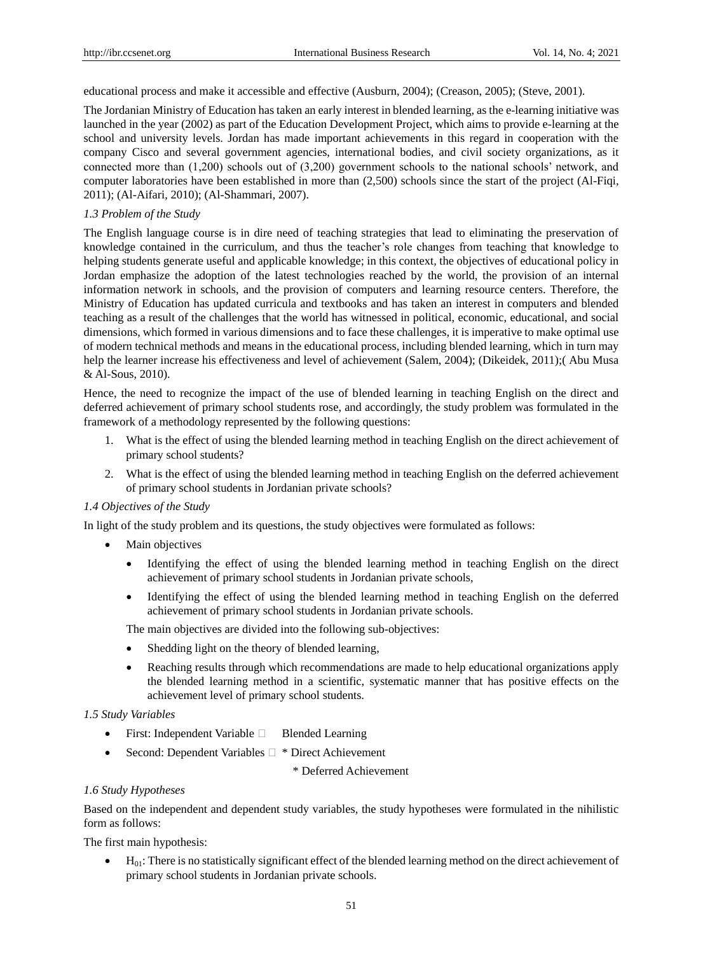educational process and make it accessible and effective (Ausburn, 2004); (Creason, 2005); (Steve, 2001).

The Jordanian Ministry of Education has taken an early interest in blended learning, as the e-learning initiative was launched in the year (2002) as part of the Education Development Project, which aims to provide e-learning at the school and university levels. Jordan has made important achievements in this regard in cooperation with the company Cisco and several government agencies, international bodies, and civil society organizations, as it connected more than (1,200) schools out of (3,200) government schools to the national schools' network, and computer laboratories have been established in more than (2,500) schools since the start of the project (Al-Fiqi, 2011); (Al-Aifari, 2010); (Al-Shammari, 2007).

#### *1.3 Problem of the Study*

The English language course is in dire need of teaching strategies that lead to eliminating the preservation of knowledge contained in the curriculum, and thus the teacher's role changes from teaching that knowledge to helping students generate useful and applicable knowledge; in this context, the objectives of educational policy in Jordan emphasize the adoption of the latest technologies reached by the world, the provision of an internal information network in schools, and the provision of computers and learning resource centers. Therefore, the Ministry of Education has updated curricula and textbooks and has taken an interest in computers and blended teaching as a result of the challenges that the world has witnessed in political, economic, educational, and social dimensions, which formed in various dimensions and to face these challenges, it is imperative to make optimal use of modern technical methods and means in the educational process, including blended learning, which in turn may help the learner increase his effectiveness and level of achievement (Salem, 2004); (Dikeidek, 2011);( Abu Musa & Al-Sous, 2010).

Hence, the need to recognize the impact of the use of blended learning in teaching English on the direct and deferred achievement of primary school students rose, and accordingly, the study problem was formulated in the framework of a methodology represented by the following questions:

- 1. What is the effect of using the blended learning method in teaching English on the direct achievement of primary school students?
- 2. What is the effect of using the blended learning method in teaching English on the deferred achievement of primary school students in Jordanian private schools?

#### *1.4 Objectives of the Study*

In light of the study problem and its questions, the study objectives were formulated as follows:

- Main objectives
	- Identifying the effect of using the blended learning method in teaching English on the direct achievement of primary school students in Jordanian private schools,
	- Identifying the effect of using the blended learning method in teaching English on the deferred achievement of primary school students in Jordanian private schools.

The main objectives are divided into the following sub-objectives:

- Shedding light on the theory of blended learning,
- Reaching results through which recommendations are made to help educational organizations apply the blended learning method in a scientific, systematic manner that has positive effects on the achievement level of primary school students.

#### *1.5 Study Variables*

- $\bullet$  First: Independent Variable  $\Box$  Blended Learning
- Second: Dependent Variables  $\Box$  \* Direct Achievement

\* Deferred Achievement

#### *1.6 Study Hypotheses*

Based on the independent and dependent study variables, the study hypotheses were formulated in the nihilistic form as follows:

The first main hypothesis:

 $\bullet$  H<sub>01</sub>: There is no statistically significant effect of the blended learning method on the direct achievement of primary school students in Jordanian private schools.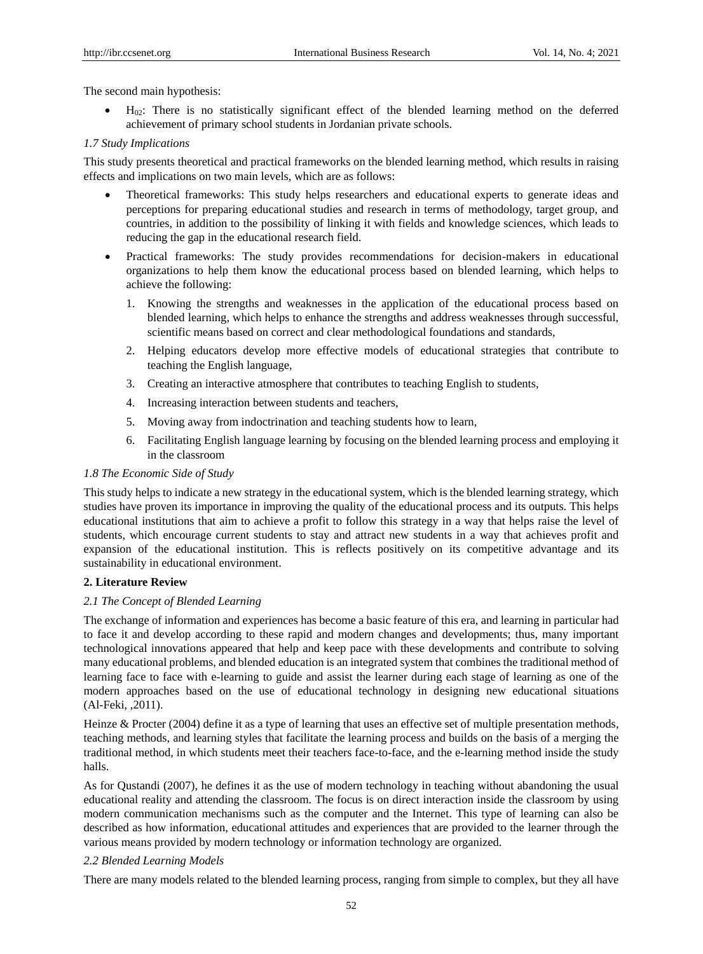The second main hypothesis:

 $\bullet$  H<sub>02</sub>: There is no statistically significant effect of the blended learning method on the deferred achievement of primary school students in Jordanian private schools.

## *1.7 Study Implications*

This study presents theoretical and practical frameworks on the blended learning method, which results in raising effects and implications on two main levels, which are as follows:

- Theoretical frameworks: This study helps researchers and educational experts to generate ideas and perceptions for preparing educational studies and research in terms of methodology, target group, and countries, in addition to the possibility of linking it with fields and knowledge sciences, which leads to reducing the gap in the educational research field.
- Practical frameworks: The study provides recommendations for decision-makers in educational organizations to help them know the educational process based on blended learning, which helps to achieve the following:
	- 1. Knowing the strengths and weaknesses in the application of the educational process based on blended learning, which helps to enhance the strengths and address weaknesses through successful, scientific means based on correct and clear methodological foundations and standards,
	- 2. Helping educators develop more effective models of educational strategies that contribute to teaching the English language,
	- 3. Creating an interactive atmosphere that contributes to teaching English to students,
	- 4. Increasing interaction between students and teachers,
	- 5. Moving away from indoctrination and teaching students how to learn,
	- 6. Facilitating English language learning by focusing on the blended learning process and employing it in the classroom

## *1.8 The Economic Side of Study*

This study helps to indicate a new strategy in the educational system, which is the blended learning strategy, which studies have proven its importance in improving the quality of the educational process and its outputs. This helps educational institutions that aim to achieve a profit to follow this strategy in a way that helps raise the level of students, which encourage current students to stay and attract new students in a way that achieves profit and expansion of the educational institution. This is reflects positively on its competitive advantage and its sustainability in educational environment.

# **2. Literature Review**

## *2.1 The Concept of Blended Learning*

The exchange of information and experiences has become a basic feature of this era, and learning in particular had to face it and develop according to these rapid and modern changes and developments; thus, many important technological innovations appeared that help and keep pace with these developments and contribute to solving many educational problems, and blended education is an integrated system that combines the traditional method of learning face to face with e-learning to guide and assist the learner during each stage of learning as one of the modern approaches based on the use of educational technology in designing new educational situations (Al-Feki, ,2011).

Heinze & Procter (2004) define it as a type of learning that uses an effective set of multiple presentation methods, teaching methods, and learning styles that facilitate the learning process and builds on the basis of a merging the traditional method, in which students meet their teachers face-to-face, and the e-learning method inside the study halls.

As for Qustandi (2007), he defines it as the use of modern technology in teaching without abandoning the usual educational reality and attending the classroom. The focus is on direct interaction inside the classroom by using modern communication mechanisms such as the computer and the Internet. This type of learning can also be described as how information, educational attitudes and experiences that are provided to the learner through the various means provided by modern technology or information technology are organized.

## *2.2 Blended Learning Models*

There are many models related to the blended learning process, ranging from simple to complex, but they all have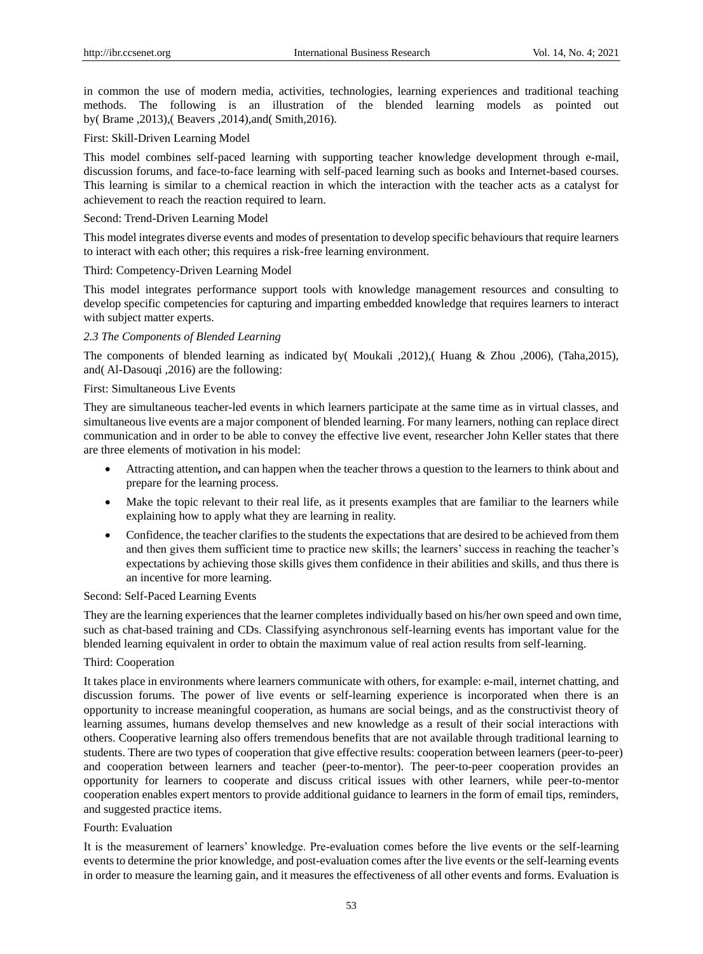in common the use of modern media, activities, technologies, learning experiences and traditional teaching methods. The following is an illustration of the blended learning models as pointed out by( Brame ,2013),( Beavers ,2014),and( Smith,2016).

## First: Skill-Driven Learning Model

This model combines self-paced learning with supporting teacher knowledge development through e-mail, discussion forums, and face-to-face learning with self-paced learning such as books and Internet-based courses. This learning is similar to a chemical reaction in which the interaction with the teacher acts as a catalyst for achievement to reach the reaction required to learn.

#### Second: Trend-Driven Learning Model

This model integrates diverse events and modes of presentation to develop specific behaviours that require learners to interact with each other; this requires a risk-free learning environment.

#### Third: Competency-Driven Learning Model

This model integrates performance support tools with knowledge management resources and consulting to develop specific competencies for capturing and imparting embedded knowledge that requires learners to interact with subject matter experts.

#### *2.3 The Components of Blended Learning*

The components of blended learning as indicated by( Moukali ,2012),( Huang & Zhou ,2006), (Taha,2015), and( Al-Dasouqi ,2016) are the following:

## First: Simultaneous Live Events

They are simultaneous teacher-led events in which learners participate at the same time as in virtual classes, and simultaneous live events are a major component of blended learning. For many learners, nothing can replace direct communication and in order to be able to convey the effective live event, researcher John Keller states that there are three elements of motivation in his model:

- Attracting attention**,** and can happen when the teacher throws a question to the learners to think about and prepare for the learning process.
- Make the topic relevant to their real life, as it presents examples that are familiar to the learners while explaining how to apply what they are learning in reality.
- Confidence, the teacher clarifies to the students the expectations that are desired to be achieved from them and then gives them sufficient time to practice new skills; the learners' success in reaching the teacher's expectations by achieving those skills gives them confidence in their abilities and skills, and thus there is an incentive for more learning.

#### Second: Self-Paced Learning Events

They are the learning experiences that the learner completes individually based on his/her own speed and own time, such as chat-based training and CDs. Classifying asynchronous self-learning events has important value for the blended learning equivalent in order to obtain the maximum value of real action results from self-learning.

## Third: Cooperation

It takes place in environments where learners communicate with others, for example: e-mail, internet chatting, and discussion forums. The power of live events or self-learning experience is incorporated when there is an opportunity to increase meaningful cooperation, as humans are social beings, and as the constructivist theory of learning assumes, humans develop themselves and new knowledge as a result of their social interactions with others. Cooperative learning also offers tremendous benefits that are not available through traditional learning to students. There are two types of cooperation that give effective results: cooperation between learners (peer-to-peer) and cooperation between learners and teacher (peer-to-mentor). The peer-to-peer cooperation provides an opportunity for learners to cooperate and discuss critical issues with other learners, while peer-to-mentor cooperation enables expert mentors to provide additional guidance to learners in the form of email tips, reminders, and suggested practice items.

## Fourth: Evaluation

It is the measurement of learners' knowledge. Pre-evaluation comes before the live events or the self-learning events to determine the prior knowledge, and post-evaluation comes after the live events or the self-learning events in order to measure the learning gain, and it measures the effectiveness of all other events and forms. Evaluation is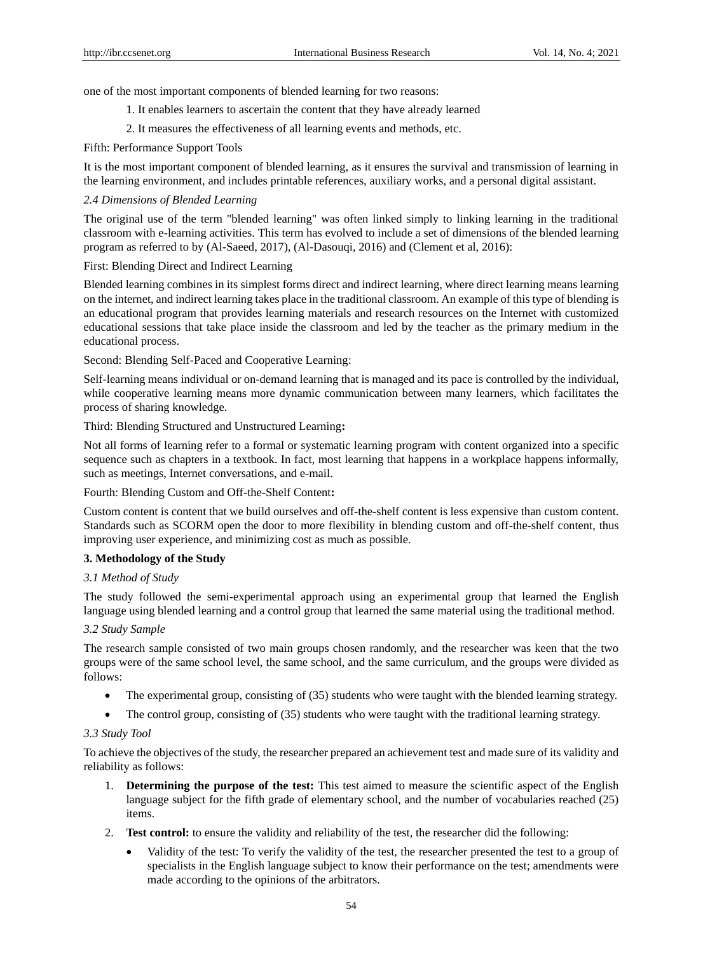one of the most important components of blended learning for two reasons:

- 1. It enables learners to ascertain the content that they have already learned
- 2. It measures the effectiveness of all learning events and methods, etc.

Fifth: Performance Support Tools

It is the most important component of blended learning, as it ensures the survival and transmission of learning in the learning environment, and includes printable references, auxiliary works, and a personal digital assistant.

## *2.4 Dimensions of Blended Learning*

The original use of the term "blended learning" was often linked simply to linking learning in the traditional classroom with e-learning activities. This term has evolved to include a set of dimensions of the blended learning program as referred to by (Al-Saeed, 2017), (Al-Dasouqi, 2016) and (Clement et al, 2016):

First: Blending Direct and Indirect Learning

Blended learning combines in its simplest forms direct and indirect learning, where direct learning means learning on the internet, and indirect learning takes place in the traditional classroom. An example of this type of blending is an educational program that provides learning materials and research resources on the Internet with customized educational sessions that take place inside the classroom and led by the teacher as the primary medium in the educational process.

Second: Blending Self-Paced and Cooperative Learning:

Self-learning means individual or on-demand learning that is managed and its pace is controlled by the individual, while cooperative learning means more dynamic communication between many learners, which facilitates the process of sharing knowledge.

Third: Blending Structured and Unstructured Learning**:**

Not all forms of learning refer to a formal or systematic learning program with content organized into a specific sequence such as chapters in a textbook. In fact, most learning that happens in a workplace happens informally, such as meetings, Internet conversations, and e-mail.

Fourth: Blending Custom and Off-the-Shelf Content**:**

Custom content is content that we build ourselves and off-the-shelf content is less expensive than custom content. Standards such as SCORM open the door to more flexibility in blending custom and off-the-shelf content, thus improving user experience, and minimizing cost as much as possible.

## **3. Methodology of the Study**

## *3.1 Method of Study*

The study followed the semi-experimental approach using an experimental group that learned the English language using blended learning and a control group that learned the same material using the traditional method.

## *3.2 Study Sample*

The research sample consisted of two main groups chosen randomly, and the researcher was keen that the two groups were of the same school level, the same school, and the same curriculum, and the groups were divided as follows:

- The experimental group, consisting of (35) students who were taught with the blended learning strategy.
- The control group, consisting of (35) students who were taught with the traditional learning strategy.

## *3.3 Study Tool*

To achieve the objectives of the study, the researcher prepared an achievement test and made sure of its validity and reliability as follows:

- 1. **Determining the purpose of the test:** This test aimed to measure the scientific aspect of the English language subject for the fifth grade of elementary school, and the number of vocabularies reached (25) items.
- 2. **Test control:** to ensure the validity and reliability of the test, the researcher did the following:
	- Validity of the test: To verify the validity of the test, the researcher presented the test to a group of specialists in the English language subject to know their performance on the test; amendments were made according to the opinions of the arbitrators.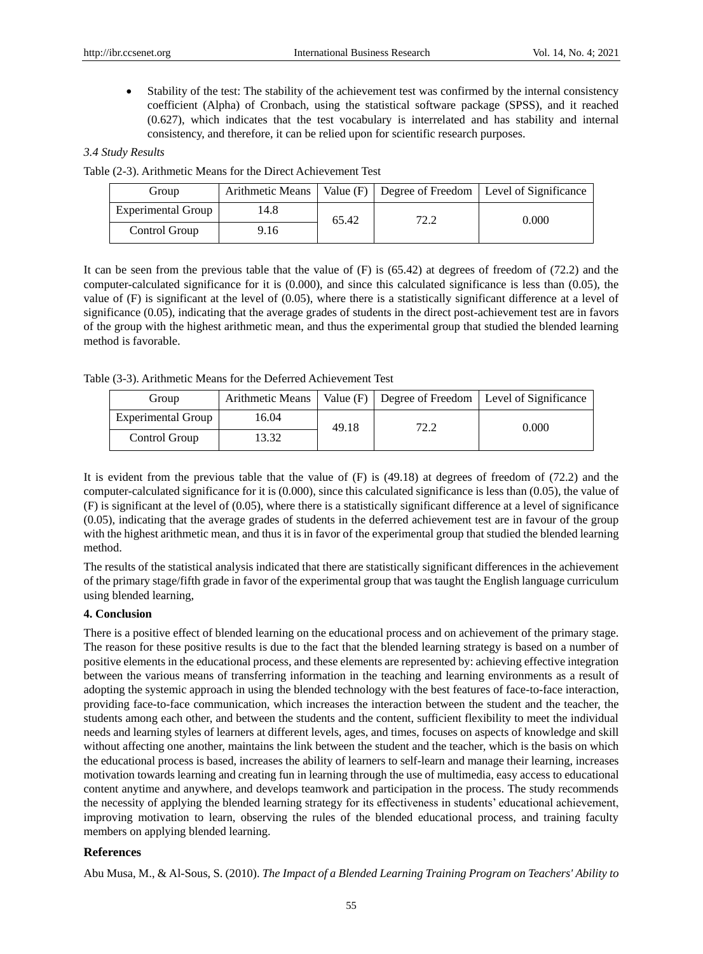Stability of the test: The stability of the achievement test was confirmed by the internal consistency coefficient (Alpha) of Cronbach, using the statistical software package (SPSS), and it reached (0.627), which indicates that the test vocabulary is interrelated and has stability and internal consistency, and therefore, it can be relied upon for scientific research purposes.

## *3.4 Study Results*

Table (2-3). Arithmetic Means for the Direct Achievement Test

| Group              | Arithmetic Means |       |      | Value $(F)$ Degree of Freedom   Level of Significance |
|--------------------|------------------|-------|------|-------------------------------------------------------|
| Experimental Group | l 4.8            | 65.42 | ר רד | 0.000                                                 |
| Control Group      | 9.16             |       |      |                                                       |

It can be seen from the previous table that the value of (F) is (65.42) at degrees of freedom of (72.2) and the computer-calculated significance for it is (0.000), and since this calculated significance is less than (0.05), the value of (F) is significant at the level of (0.05), where there is a statistically significant difference at a level of significance (0.05), indicating that the average grades of students in the direct post-achievement test are in favors of the group with the highest arithmetic mean, and thus the experimental group that studied the blended learning method is favorable.

Table (3-3). Arithmetic Means for the Deferred Achievement Test

| Group                     | Arithmetic Means |       |      | Value $(F)$ Degree of Freedom   Level of Significance |
|---------------------------|------------------|-------|------|-------------------------------------------------------|
| <b>Experimental Group</b> | 16.04            | 49.18 | 72 2 | 0.000                                                 |
| Control Group             | 3.32             |       |      |                                                       |

It is evident from the previous table that the value of (F) is (49.18) at degrees of freedom of (72.2) and the computer-calculated significance for it is (0.000), since this calculated significance is less than (0.05), the value of (F) is significant at the level of (0.05), where there is a statistically significant difference at a level of significance (0.05), indicating that the average grades of students in the deferred achievement test are in favour of the group with the highest arithmetic mean, and thus it is in favor of the experimental group that studied the blended learning method.

The results of the statistical analysis indicated that there are statistically significant differences in the achievement of the primary stage/fifth grade in favor of the experimental group that was taught the English language curriculum using blended learning,

## **4. Conclusion**

There is a positive effect of blended learning on the educational process and on achievement of the primary stage. The reason for these positive results is due to the fact that the blended learning strategy is based on a number of positive elements in the educational process, and these elements are represented by: achieving effective integration between the various means of transferring information in the teaching and learning environments as a result of adopting the systemic approach in using the blended technology with the best features of face-to-face interaction, providing face-to-face communication, which increases the interaction between the student and the teacher, the students among each other, and between the students and the content, sufficient flexibility to meet the individual needs and learning styles of learners at different levels, ages, and times, focuses on aspects of knowledge and skill without affecting one another, maintains the link between the student and the teacher, which is the basis on which the educational process is based, increases the ability of learners to self-learn and manage their learning, increases motivation towards learning and creating fun in learning through the use of multimedia, easy access to educational content anytime and anywhere, and develops teamwork and participation in the process. The study recommends the necessity of applying the blended learning strategy for its effectiveness in students' educational achievement, improving motivation to learn, observing the rules of the blended educational process, and training faculty members on applying blended learning.

## **References**

Abu Musa, M., & Al-Sous, S. (2010). *The Impact of a Blended Learning Training Program on Teachers' Ability to*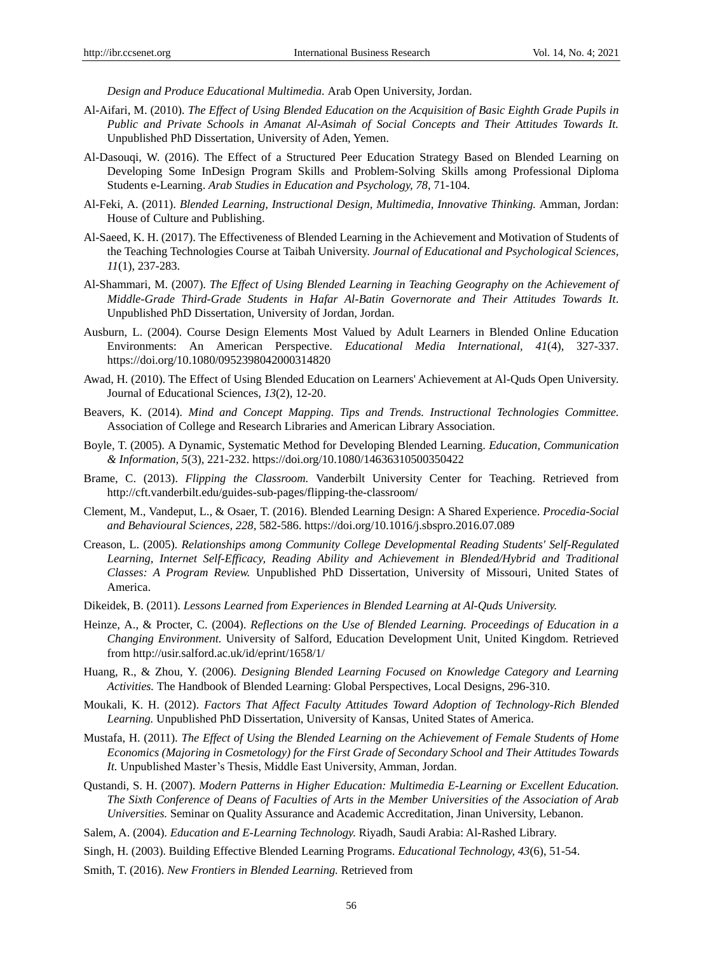*Design and Produce Educational Multimedia.* Arab Open University, Jordan.

- Al-Aifari, M. (2010). *The Effect of Using Blended Education on the Acquisition of Basic Eighth Grade Pupils in Public and Private Schools in Amanat Al-Asimah of Social Concepts and Their Attitudes Towards It.*  Unpublished PhD Dissertation, University of Aden, Yemen.
- Al-Dasouqi, W. (2016). The Effect of a Structured Peer Education Strategy Based on Blended Learning on Developing Some InDesign Program Skills and Problem-Solving Skills among Professional Diploma Students e-Learning. *Arab Studies in Education and Psychology, 78*, 71-104.
- Al-Feki, A. (2011). *Blended Learning, Instructional Design, Multimedia, Innovative Thinking.* Amman, Jordan: House of Culture and Publishing.
- Al-Saeed, K. H. (2017). The Effectiveness of Blended Learning in the Achievement and Motivation of Students of the Teaching Technologies Course at Taibah University. *Journal of Educational and Psychological Sciences, 11*(1), 237-283.
- Al-Shammari, M. (2007). *The Effect of Using Blended Learning in Teaching Geography on the Achievement of Middle-Grade Third-Grade Students in Hafar Al-Batin Governorate and Their Attitudes Towards It*. Unpublished PhD Dissertation, University of Jordan, Jordan.
- Ausburn, L. (2004). Course Design Elements Most Valued by Adult Learners in Blended Online Education Environments: An American Perspective. *Educational Media International, 41*(4), 327-337. https://doi.org/10.1080/0952398042000314820
- Awad, H. (2010). The Effect of Using Blended Education on Learners' Achievement at Al-Quds Open University. Journal of Educational Sciences, *13*(2), 12-20.
- Beavers, K. (2014). *Mind and Concept Mapping. Tips and Trends. Instructional Technologies Committee.*  Association of College and Research Libraries and American Library Association.
- Boyle, T. (2005). A Dynamic, Systematic Method for Developing Blended Learning. *Education, Communication & Information, 5*(3), 221-232. https://doi.org/10.1080/14636310500350422
- Brame, C. (2013). *Flipping the Classroom.* Vanderbilt University Center for Teaching. Retrieved from http://cft.vanderbilt.edu/guides-sub-pages/flipping-the-classroom/
- Clement, M., Vandeput, L., & Osaer, T. (2016). Blended Learning Design: A Shared Experience. *Procedia-Social and Behavioural Sciences, 228*, 582-586. https://doi.org/10.1016/j.sbspro.2016.07.089
- Creason, L. (2005). *Relationships among Community College Developmental Reading Students' Self-Regulated*  Learning, Internet Self-Efficacy, Reading Ability and Achievement in Blended/Hybrid and Traditional *Classes: A Program Review.* Unpublished PhD Dissertation, University of Missouri, United States of America.
- Dikeidek, B. (2011). *Lessons Learned from Experiences in Blended Learning at Al-Quds University.*
- Heinze, A., & Procter, C. (2004). *Reflections on the Use of Blended Learning. Proceedings of Education in a Changing Environment.* University of Salford, Education Development Unit, United Kingdom. Retrieved from http://usir.salford.ac.uk/id/eprint/1658/1/
- Huang, R., & Zhou, Y. (2006). *Designing Blended Learning Focused on Knowledge Category and Learning Activities.* The Handbook of Blended Learning: Global Perspectives, Local Designs, 296-310.
- Moukali, K. H. (2012). *Factors That Affect Faculty Attitudes Toward Adoption of Technology-Rich Blended Learning.* Unpublished PhD Dissertation, University of Kansas, United States of America.
- Mustafa, H. (2011). *The Effect of Using the Blended Learning on the Achievement of Female Students of Home Economics (Majoring in Cosmetology) for the First Grade of Secondary School and Their Attitudes Towards It.* Unpublished Master's Thesis, Middle East University, Amman, Jordan.
- Qustandi, S. H. (2007). *Modern Patterns in Higher Education: Multimedia E-Learning or Excellent Education. The Sixth Conference of Deans of Faculties of Arts in the Member Universities of the Association of Arab Universities.* Seminar on Quality Assurance and Academic Accreditation, Jinan University, Lebanon.
- Salem, A. (2004). *Education and E-Learning Technology.* Riyadh, Saudi Arabia: Al-Rashed Library.
- Singh, H. (2003). Building Effective Blended Learning Programs. *Educational Technology, 43*(6), 51-54.
- Smith, T. (2016). *New Frontiers in Blended Learning.* Retrieved from